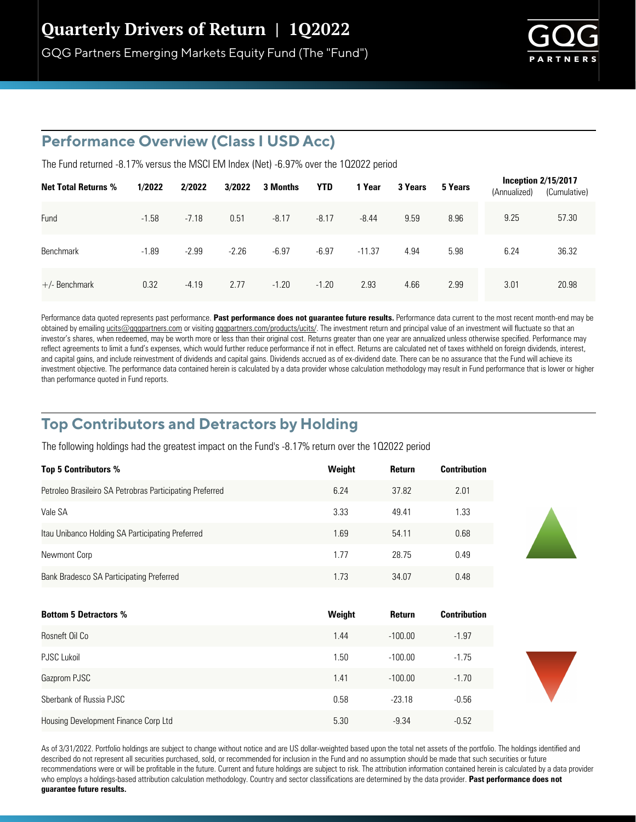

## **Performance Overview (Class I USD Acc)**

The Fund returned  $-8.17\%$  versus the MSCI EM Index (Net)  $-6.97\%$  over the 1Q2022 period

| <b>Net Total Returns %</b> | 1/2022  | 2/2022  | 3/2022  | 3 Months | <b>YTD</b> | 1 Year   | 3 Years | 5 Years | (Annualized) | Inception $2/15/2017$<br>(Cumulative) |
|----------------------------|---------|---------|---------|----------|------------|----------|---------|---------|--------------|---------------------------------------|
| Fund                       | $-1.58$ | $-7.18$ | 0.51    | $-8.17$  | $-8.17$    | $-8.44$  | 9.59    | 8.96    | 9.25         | 57.30                                 |
| <b>Benchmark</b>           | $-1.89$ | $-2.99$ | $-2.26$ | $-6.97$  | $-6.97$    | $-11.37$ | 4.94    | 5.98    | 6.24         | 36.32                                 |
| $+/-$ Benchmark            | 0.32    | $-4.19$ | 2.77    | $-1.20$  | $-1.20$    | 2.93     | 4.66    | 2.99    | 3.01         | 20.98                                 |

Performance data quoted represents past performance. Past performance does not quarantee future results. Performance data current to the most recent month-end may be obtained by emailing ucits@gqgpartners.com or visiting gqgpartners.com/products/ucits/. The investment return and principal value of an investment will fluctuate so that an investor's shares, when redeemed, may be worth more or less than their original cost. Returns greater than one year are annualized unless otherwise specified. Performance may reflect agreements to limit a fund's expenses, which would further reduce performance if not in effect. Returns are calculated net of taxes withheld on foreign dividends, interest, and capital gains, and include reinvestment of dividends and capital gains. Dividends accrued as of ex-dividend date. There can be no assurance that the Fund will achieve its investment objective. The performance data contained herein is calculated by a data provider whose calculation methodology may result in Fund performance that is lower or higher than performance quoted in Fund reports.

# **Top Contributors and Detractors by Holding**

The following holdings had the greatest impact on the Fund's -8.17% return over the 102022 period

| <b>Top 5 Contributors %</b>                              | Weight | Return | <b>Contribution</b> |
|----------------------------------------------------------|--------|--------|---------------------|
| Petroleo Brasileiro SA Petrobras Participating Preferred | 6.24   | 37.82  | 2.01                |
| Vale SA                                                  | 3.33   | 49.41  | 1.33                |
| Itau Unibanco Holding SA Participating Preferred         | 1.69   | 54.11  | 0.68                |
| Newmont Corp                                             | 1.77   | 28.75  | 0.49                |
| Bank Bradesco SA Participating Preferred                 | 1.73   | 34.07  | 0.48                |

| <b>Bottom 5 Detractors %</b>         | Weight | Return    | <b>Contribution</b> |
|--------------------------------------|--------|-----------|---------------------|
| Rosneft Oil Co                       | 1.44   | $-100.00$ | $-1.97$             |
| PJSC Lukoil                          | .50    | $-100.00$ | $-1.75$             |
| Gazprom PJSC                         | 1.41   | $-100.00$ | $-1.70$             |
| Sberbank of Russia PJSC              | 0.58   | $-23.18$  | $-0.56$             |
| Housing Development Finance Corp Ltd | 5.30   | $-9.34$   | $-0.52$             |

As of 3/31/2022. Portfolio holdings are subject to change without notice and are US dollar-weighted based upon the total net assets of the portfolio. The holdings identified and described do not represent all securities purchased, sold, or recommended for inclusion in the Fund and no assumption should be made that such securities or future recommendations were or will be profitable in the future. Current and future holdings are subject to risk. The attribution information contained herein is calculated by a data provider who employs a holdings-based attribution calculation methodology. Country and sector classifications are determined by the data provider. **Past performance does not guarantee future results.**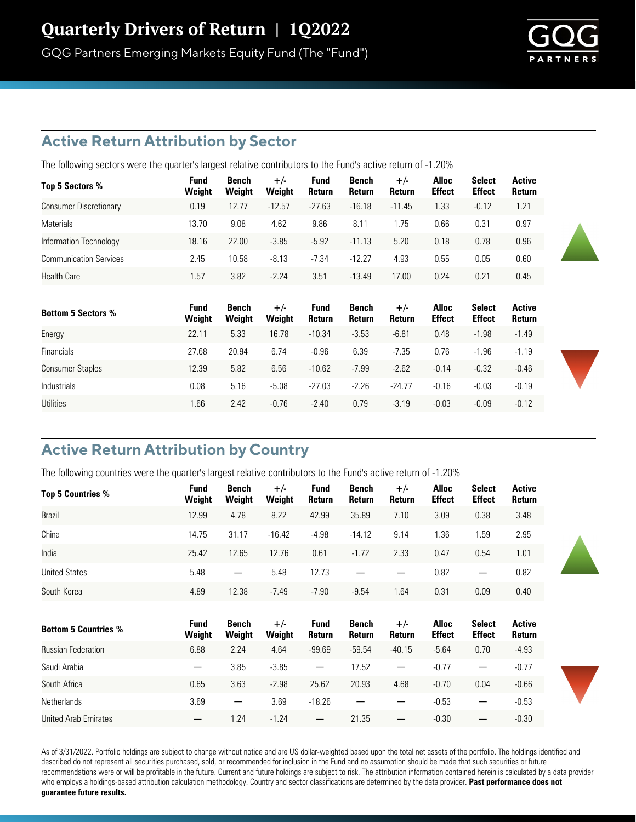## **Active Return Attribution by Sector**

The following sectors were the quarter's largest relative contributors to the Fund's active return of -1.20%

| Top 5 Sectors %               | Fund<br>Weight | Bench<br>Weight | $+/-$<br>Weight | <b>Fund</b><br><b>Return</b> | Bench<br>Return | $+/-$<br><b>Return</b> | <b>Alloc</b><br><b>Effect</b> | <b>Select</b><br><b>Effect</b> | Active<br>Return |
|-------------------------------|----------------|-----------------|-----------------|------------------------------|-----------------|------------------------|-------------------------------|--------------------------------|------------------|
| <b>Consumer Discretionary</b> | 0.19           | 12.77           | $-12.57$        | $-27.63$                     | $-16.18$        | $-11.45$               | 1.33                          | $-0.12$                        | 1.21             |
| <b>Materials</b>              | 13.70          | 9.08            | 4.62            | 9.86                         | 8.11            | 1.75                   | 0.66                          | 0.31                           | 0.97             |
| Information Technology        | 18.16          | 22.00           | $-3.85$         | $-5.92$                      | $-11.13$        | 5.20                   | 0.18                          | 0.78                           | 0.96             |
| <b>Communication Services</b> | 2.45           | 10.58           | $-8.13$         | $-7.34$                      | $-12.27$        | 4.93                   | 0.55                          | 0.05                           | 0.60             |
| <b>Health Care</b>            | 1.57           | 3.82            | $-2.24$         | 3.51                         | $-13.49$        | 17.00                  | 0.24                          | 0.21                           | 0.45             |

| <b>Bottom 5 Sectors %</b> | <b>Fund</b><br>Weight | Bench<br>Weight | $+/-$<br>Weight | <b>Fund</b><br><b>Return</b> | Bench<br>Return | $+/-$<br>Return | <b>Alloc</b><br><b>Effect</b> | <b>Select</b><br><b>Effect</b> | Active<br>Return |
|---------------------------|-----------------------|-----------------|-----------------|------------------------------|-----------------|-----------------|-------------------------------|--------------------------------|------------------|
| Energy                    | 22.11                 | 5.33            | 16.78           | $-10.34$                     | $-3.53$         | $-6.81$         | 0.48                          | $-1.98$                        | $-1.49$          |
| <b>Financials</b>         | 27.68                 | 20.94           | 6.74            | $-0.96$                      | 6.39            | $-7.35$         | 0.76                          | $-1.96$                        | $-1.19$          |
| <b>Consumer Staples</b>   | 12.39                 | 5.82            | 6.56            | $-10.62$                     | $-7.99$         | $-2.62$         | $-0.14$                       | $-0.32$                        | $-0.46$          |
| <b>Industrials</b>        | 0.08                  | 5.16            | $-5.08$         | $-27.03$                     | $-2.26$         | $-24.77$        | $-0.16$                       | $-0.03$                        | $-0.19$          |
| Utilities                 | .66                   | 2.42            | $-0.76$         | $-2.40$                      | 0.79            | $-3.19$         | $-0.03$                       | $-0.09$                        | $-0.12$          |

# **Active Return Attribution by Country**

The following countries were the quarter's largest relative contributors to the Fund's active return of -1.20%

| Top 5 Countries %           | Fund<br>Weight    | Bench<br>Weight          | $+/-$<br>Weight | <b>Fund</b><br>Return    | Bench<br>Return | $+/-$<br><b>Return</b> | <b>Alloc</b><br><b>Effect</b> | <b>Select</b><br><b>Effect</b> | <b>Active</b><br>Return |
|-----------------------------|-------------------|--------------------------|-----------------|--------------------------|-----------------|------------------------|-------------------------------|--------------------------------|-------------------------|
| Brazil                      | 12.99             | 4.78                     | 8.22            | 42.99                    | 35.89           | 7.10                   | 3.09                          | 0.38                           | 3.48                    |
| China                       | 14.75             | 31.17                    | $-16.42$        | $-4.98$                  | $-14.12$        | 9.14                   | 1.36                          | 1.59                           | 2.95                    |
| India                       | 25.42             | 12.65                    | 12.76           | 0.61                     | $-1.72$         | 2.33                   | 0.47                          | 0.54                           | 1.01                    |
| <b>United States</b>        | 5.48              | —                        | 5.48            | 12.73                    |                 |                        | 0.82                          |                                | 0.82                    |
| South Korea                 | 4.89              | 12.38                    | $-7.49$         | $-7.90$                  | $-9.54$         | 1.64                   | 0.31                          | 0.09                           | 0.40                    |
|                             | <b>Fund</b>       | Bench                    | $+/-$           | <b>Fund</b>              | Bench           | $+/-$                  | <b>Alloc</b>                  | <b>Select</b>                  | <b>Active</b>           |
| <b>Bottom 5 Countries %</b> | Weight            | Weight                   | Weight          | Return                   | Return          | Return                 | <b>Effect</b>                 | <b>Effect</b>                  | Return                  |
| <b>Russian Federation</b>   | 6.88              | 2.24                     | 4.64            | $-99.69$                 | $-59.54$        | $-40.15$               | $-5.64$                       | 0.70                           | $-4.93$                 |
| Saudi Arabia                | $\qquad \qquad -$ | 3.85                     | $-3.85$         | $\overline{\phantom{m}}$ | 17.52           |                        | $-0.77$                       | $\qquad \qquad$                | $-0.77$                 |
| South Africa                | 0.65              | 3.63                     | $-2.98$         | 25.62                    | 20.93           | 4.68                   | $-0.70$                       | 0.04                           | $-0.66$                 |
| <b>Netherlands</b>          | 3.69              | $\overline{\phantom{m}}$ | 3.69            | $-18.26$                 |                 |                        | $-0.53$                       | —                              | $-0.53$                 |
| <b>United Arab Emirates</b> | —                 | 1.24                     | $-1.24$         | $\overline{\phantom{m}}$ | 21.35           |                        | $-0.30$                       |                                | $-0.30$                 |

As of 3/31/2022. Portfolio holdings are subject to change without notice and are US dollar-weighted based upon the total net assets of the portfolio. The holdings identified and described do not represent all securities purchased, sold, or recommended for inclusion in the Fund and no assumption should be made that such securities or future recommendations were or will be profitable in the future. Current and future holdings are subject to risk. The attribution information contained herein is calculated by a data provider who employs a holdings-based attribution calculation methodology. Country and sector classifications are determined by the data provider. **Past performance does not guarantee future results.**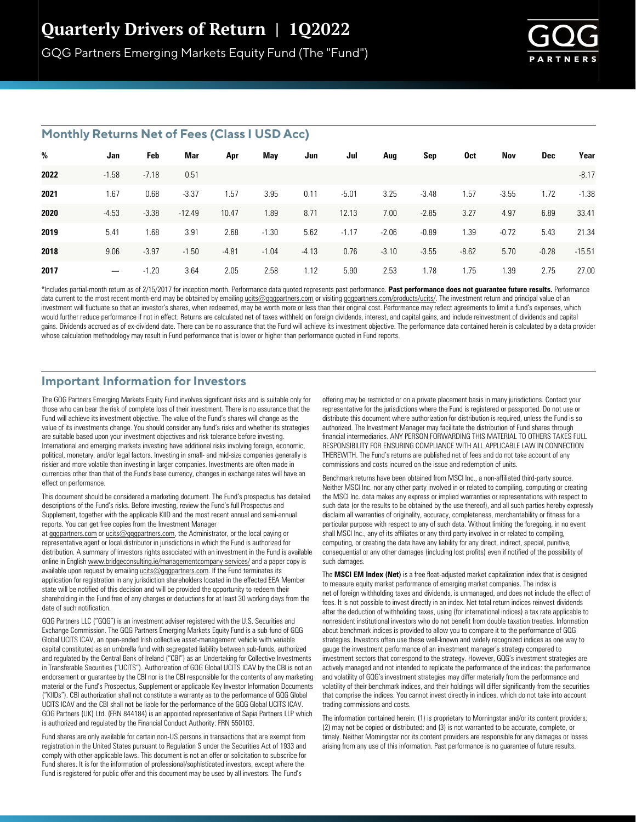

#### **Monthly Returns Net of Fees (Class I USD Acc)**

| %    | Jan             | Feb     | Mar      | Apr     | May     | Jun     | Jul     | Aug     | Sep     | 0ct     | Nov     | Dec     | Year     |
|------|-----------------|---------|----------|---------|---------|---------|---------|---------|---------|---------|---------|---------|----------|
| 2022 | $-1.58$         | $-7.18$ | 0.51     |         |         |         |         |         |         |         |         |         | $-8.17$  |
| 2021 | 1.67            | 0.68    | $-3.37$  | 1.57    | 3.95    | 0.11    | $-5.01$ | 3.25    | $-3.48$ | 1.57    | $-3.55$ | 1.72    | $-1.38$  |
| 2020 | $-4.53$         | $-3.38$ | $-12.49$ | 10.47   | 1.89    | 8.71    | 12.13   | 7.00    | $-2.85$ | 3.27    | 4.97    | 6.89    | 33.41    |
| 2019 | 5.41            | 1.68    | 3.91     | 2.68    | $-1.30$ | 5.62    | $-1.17$ | $-2.06$ | $-0.89$ | 1.39    | $-0.72$ | 5.43    | 21.34    |
| 2018 | 9.06            | $-3.97$ | $-1.50$  | $-4.81$ | $-1.04$ | $-4.13$ | 0.76    | $-3.10$ | $-3.55$ | $-8.62$ | 5.70    | $-0.28$ | $-15.51$ |
| 2017 | $\qquad \qquad$ | $-1.20$ | 3.64     | 2.05    | 2.58    | 1.12    | 5.90    | 2.53    | 1.78    | 1.75    | 1.39    | 2.75    | 27.00    |

\*Includes partial-month return as of 2/15/2017 for inception month. Performance data quoted represents past performance. Past performance does not guarantee future results. Performance data current to the most recent month-end may be obtained by emailing ucits@gqgpartners.com or visiting gqgpartners.com/products/ucits/. The investment return and principal value of an investment will fluctuate so that an investor's shares, when redeemed, may be worth more or less than their original cost. Performance may reflect agreements to limit a fund's expenses, which would further reduce performance if not in effect. Returns are calculated net of taxes withheld on foreign dividends, interest, and capital gains, and include reinvestment of dividends and capital gains. Dividends accrued as of ex-dividend date. There can be no assurance that the Fund will achieve its investment objective. The performance data contained herein is calculated by a data provider whose calculation methodology may result in Fund performance that is lower or higher than performance quoted in Fund reports.

## **Important Information for Investors**

The GQG Partners Emerging Markets Equity Fund involves significant risks and is suitable only for those who can bear the risk of complete loss of their investment. There is no assurance that the Fund will achieve its investment objective. The value of the Fund's shares will change as the value of its investments change. You should consider any fund's risks and whether its strategies are suitable based upon your investment objectives and risk tolerance before investing. International and emerging markets investing have additional risks involving foreign, economic, political, monetary, and/or legal factors. Investing in small- and mid-size companies generally is riskier and more volatile than investing in larger companies. Investments are often made in currencies other than that of the Fund's base currency, changes in exchange rates will have an effect on performance.

This document should be considered a marketing document. The Fund's prospectus has detailed descriptions of the Fund's risks. Before investing, review the Fund's full Prospectus and Supplement, together with the applicable KIID and the most recent annual and semi-annual reports. You can get free copies from the Investment Manager

at gggpartners.com or ucits@gggpartners.com, the Administrator, or the local paying or representative agent or local distributor in jurisdictions in which the Fund is authorized for distribution. A summary of investors rights associated with an investment in the Fund is available online in English www.bridgeconsulting.ie/managementcompany-services/ and a paper copy is available upon request by emailing ucits@gqgpartners.com. If the Fund terminates its application for registration in any jurisdiction shareholders located in the effected EEA Member state will be notified of this decision and will be provided the opportunity to redeem their shareholding in the Fund free of any charges or deductions for at least 30 working days from the date of such notification.

GQG Partners LLC ("GQG") is an investment adviser registered with the U.S. Securities and Exchange Commission. The GQG Partners Emerging Markets Equity Fund is a sub-fund of GQG Global UCITS ICAV, an open-ended Irish collective asset-management vehicle with variable capital constituted as an umbrella fund with segregated liability between sub-funds, authorized and regulated by the Central Bank of Ireland ("CBI") as an Undertaking for Collective Investments in Transferable Securities ("UCITS"). Authorization of GQG Global UCITS ICAV by the CBI is not an endorsement or guarantee by the CBI nor is the CBI responsible for the contents of any marketing material or the Fund's Prospectus, Supplement or applicable Key Investor Information Documents ("KIIDs"). CBI authorization shall not constitute a warranty as to the performance of GQG Global UCITS ICAV and the CBI shall not be liable for the performance of the GQG Global UCITS ICAV. GQG Partners (UK) Ltd. (FRN 844184) is an appointed representative of Sapia Partners LLP which is authorized and regulated by the Financial Conduct Authority: FRN 550103.

Fund shares are only available for certain non-US persons in transactions that are exempt from registration in the United States pursuant to Regulation S under the Securities Act of 1933 and comply with other applicable laws. This document is not an offer or solicitation to subscribe for Fund shares. It is for the information of professional/sophisticated investors, except where the Fund is registered for public offer and this document may be used by all investors. The Fund's

offering may be restricted or on a private placement basis in many jurisdictions. Contact your representative for the jurisdictions where the Fund is registered or passported. Do not use or distribute this document where authorization for distribution is required, unless the Fund is so authorized. The Investment Manager may facilitate the distribution of Fund shares through financial intermediaries. ANY PERSON FORWARDING THIS MATERIAL TO OTHERS TAKES FULL RESPONSIBILITY FOR ENSURING COMPLIANCE WITH ALL APPLICABLE LAW IN CONNECTION THEREWITH. The Fund's returns are published net of fees and do not take account of any commissions and costs incurred on the issue and redemption of units.

Benchmark returns have been obtained from MSCI Inc., a non-affiliated third-party source. Neither MSCI Inc. nor any other party involved in or related to compiling, computing or creating the MSCI Inc. data makes any express or implied warranties or representations with respect to such data (or the results to be obtained by the use thereof), and all such parties hereby expressly disclaim all warranties of originality, accuracy, completeness, merchantability or fitness for a particular purpose with respect to any of such data. Without limiting the foregoing, in no event shall MSCI Inc., any of its affiliates or any third party involved in or related to compiling, computing, or creating the data have any liability for any direct, indirect, special, punitive, consequential or any other damages (including lost profits) even if notified of the possibility of such damages.

The **MSCI EM Index (Net)** is a free float-adjusted market capitalization index that is designed to measure equity market performance of emerging market companies. The index is net of foreign withholding taxes and dividends, is unmanaged, and does not include the effect of fees. It is not possible to invest directly in an index. Net total return indices reinvest dividends after the deduction of withholding taxes, using (for international indices) a tax rate applicable to nonresident institutional investors who do not benefit from double taxation treaties. Information about benchmark indices is provided to allow you to compare it to the performance of GQG strategies. Investors often use these well-known and widely recognized indices as one way to gauge the investment performance of an investment manager's strategy compared to investment sectors that correspond to the strategy. However, GQG's investment strategies are actively managed and not intended to replicate the performance of the indices: the performance and volatility of GQG's investment strategies may differ materially from the performance and volatility of their benchmark indices, and their holdings will differ significantly from the securities that comprise the indices. You cannot invest directly in indices, which do not take into account trading commissions and costs.

The information contained herein: (1) is proprietary to Morningstar and/or its content providers; (2) may not be copied or distributed; and (3) is not warranted to be accurate, complete, or timely. Neither Morningstar nor its content providers are responsible for any damages or losses arising from any use of this information. Past performance is no guarantee of future results.